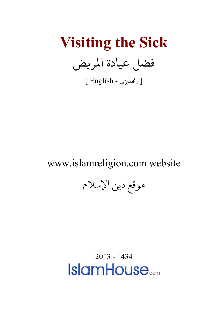**Visiting the Sick** فضل عيادة المريض

[ إنجليزي - English ]

## www.islamreligion.com website

موقع دين الإسلام

<span id="page-0-0"></span>2013 - 1434**IslamHouse**<sub>com</sub>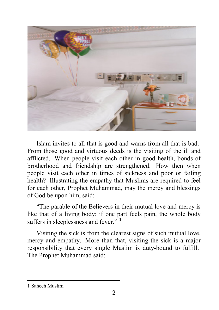

Islam invites to all that is good and warns from all that is bad. From those good and virtuous deeds is the visiting of the ill and afflicted. When people visit each other in good health, bonds of brotherhood and friendship are strengthened. How then when people visit each other in times of sickness and poor or failing health? Illustrating the empathy that Muslims are required to feel for each other, Prophet Muhammad, may the mercy and blessings of God be upon him, said:

"The parable of the Believers in their mutual love and mercy is like that of a living body: if one part feels pain, the whole body suffers in sleeplessness and fever."<sup>[1](#page-0-0)</sup>

Visiting the sick is from the clearest signs of such mutual love, mercy and empathy. More than that, visiting the sick is a major responsibility that every single Muslim is duty-bound to fulfill. The Prophet Muhammad said:

<span id="page-1-0"></span>1 Saheeh Muslim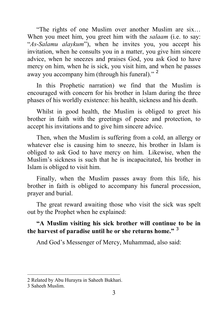"The rights of one Muslim over another Muslim are six… When you meet him, you greet him with the *salaam* (i.e. to say: "*As-Salamu alaykum*"), when he invites you, you accept his invitation, when he consults you in a matter, you give him sincere advice, when he sneezes and praises God, you ask God to have mercy on him, when he is sick, you visit him, and when he passes away you accompany him (through his funeral)." [2](#page-1-0)

In this Prophetic narration) we find that the Muslim is encouraged with concern for his brother in Islam during the three phases of his worldly existence: his health, sickness and his death.

Whilst in good health, the Muslim is obliged to greet his brother in faith with the greetings of peace and protection, to accept his invitations and to give him sincere advice.

Then, when the Muslim is suffering from a cold, an allergy or whatever else is causing him to sneeze, his brother in Islam is obliged to ask God to have mercy on him. Likewise, when the Muslim's sickness is such that he is incapacitated, his brother in Islam is obliged to visit him.

Finally, when the Muslim passes away from this life, his brother in faith is obliged to accompany his funeral procession, prayer and burial.

The great reward awaiting those who visit the sick was spelt out by the Prophet when he explained:

## **"A Muslim visiting his sick brother will continue to be in the harvest of paradise until he or she returns home."** [3](#page-2-0)

And God's Messenger of Mercy, Muhammad, also said:

<span id="page-2-0"></span><sup>2</sup> Related by Abu Hurayra in Saheeh Bukhari.

<span id="page-2-1"></span><sup>3</sup> Saheeh Muslim.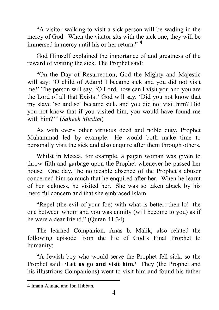"A visitor walking to visit a sick person will be wading in the mercy of God. When the visitor sits with the sick one, they will be immersed in mercy until his or her return." [4](#page-2-1)

God Himself explained the importance of and greatness of the reward of visiting the sick. The Prophet said:

"On the Day of Resurrection, God the Mighty and Majestic will say: 'O child of Adam! I became sick and you did not visit me!' The person will say, 'O Lord, how can I visit you and you are the Lord of all that Exists!' God will say, 'Did you not know that my slave 'so and so' became sick, and you did not visit him? Did you not know that if you visited him, you would have found me with him?'" (*Saheeh Muslim*)

As with every other virtuous deed and noble duty, Prophet Muhammad led by example. He would both make time to personally visit the sick and also enquire after them through others.

Whilst in Mecca, for example, a pagan woman was given to throw filth and garbage upon the Prophet whenever he passed her house. One day, the noticeable absence of the Prophet's abuser concerned him so much that he enquired after her. When he learnt of her sickness, he visited her. She was so taken aback by his merciful concern and that she embraced Islam.

"Repel (the evil of your foe) with what is better: then lo! the one between whom and you was enmity (will become to you) as if he were a dear friend." (Quran 41:34)

The learned Companion, Anas b. Malik, also related the following episode from the life of God's Final Prophet to humanity:

"A Jewish boy who would serve the Prophet fell sick, so the Prophet said: **'Let us go and visit him.'** They (the Prophet and his illustrious Companions) went to visit him and found his father

<span id="page-3-0"></span><sup>4</sup> Imam Ahmad and Ibn Hibban.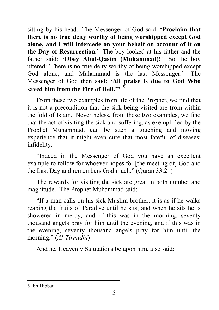sitting by his head. The Messenger of God said: **'Proclaim that there is no true deity worthy of being worshipped except God alone, and I will intercede on your behalf on account of it on the Day of Resurrection.'** The boy looked at his father and the father said: **'Obey Abul-Qasim (Muhammad)!**' So the boy uttered: 'There is no true deity worthy of being worshipped except God alone, and Muhammad is the last Messenger.' The Messenger of God then said: **'All praise is due to God Who**  saved him from the Fire of Hell<sup>"</sup>

From these two examples from life of the Prophet, we find that it is not a precondition that the sick being visited are from within the fold of Islam. Nevertheless, from these two examples, we find that the act of visiting the sick and suffering, as exemplified by the Prophet Muhammad, can be such a touching and moving experience that it might even cure that most fateful of diseases: infidelity.

"Indeed in the Messenger of God you have an excellent example to follow for whoever hopes for [the meeting of] God and the Last Day and remembers God much." (Quran 33:21)

The rewards for visiting the sick are great in both number and magnitude. The Prophet Muhammad said:

"If a man calls on his sick Muslim brother, it is as if he walks reaping the fruits of Paradise until he sits, and when he sits he is showered in mercy, and if this was in the morning, seventy thousand angels pray for him until the evening, and if this was in the evening, seventy thousand angels pray for him until the morning." (*Al-Tirmidhi*)

And he, Heavenly Salutations be upon him, also said:

<span id="page-4-0"></span><sup>5</sup> Ibn Hibban.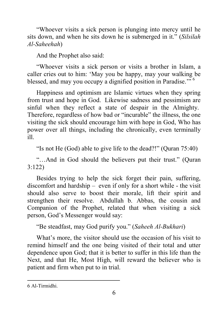"Whoever visits a sick person is plunging into mercy until he sits down, and when he sits down he is submerged in it." (*Silsilah Al-Saheehah*)

And the Prophet also said:

"Whoever visits a sick person or visits a brother in Islam, a caller cries out to him: 'May you be happy, may your walking be blessed, and may you occupy a dignified position in Paradise."<sup>5</sup>

Happiness and optimism are Islamic virtues when they spring from trust and hope in God. Likewise sadness and pessimism are sinful when they reflect a state of despair in the Almighty. Therefore, regardless of how bad or "incurable" the illness, the one visiting the sick should encourage him with hope in God, Who has power over all things, including the chronically, even terminally ill.

"Is not He (God) able to give life to the dead?!" (Quran 75:40)

"…And in God should the believers put their trust." (Quran 3:122)

Besides trying to help the sick forget their pain, suffering, discomfort and hardship – even if only for a short while - the visit should also serve to boost their morale, lift their spirit and strengthen their resolve. Abdullah b. Abbas, the cousin and Companion of the Prophet, related that when visiting a sick person, God's Messenger would say:

"Be steadfast, may God purify you." (*Saheeh Al-Bukhari*)

What's more, the visitor should use the occasion of his visit to remind himself and the one being visited of their total and utter dependence upon God; that it is better to suffer in this life than the Next, and that He, Most High, will reward the believer who is patient and firm when put to in trial.

<sup>6</sup> Al-Tirmidhi.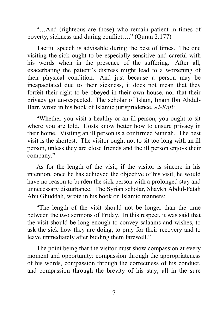"…And (righteous are those) who remain patient in times of poverty, sickness and during conflict…." (Quran 2:177)

Tactful speech is advisable during the best of times. The one visiting the sick ought to be especially sensitive and careful with his words when in the presence of the suffering. After all, exacerbating the patient's distress might lead to a worsening of their physical condition. And just because a person may be incapacitated due to their sickness, it does not mean that they forfeit their right to be obeyed in their own house, nor that their privacy go un-respected. The scholar of Islam, Imam Ibn Abdul-Barr, wrote in his book of Islamic jurisprudence, *Al-Kafi*:

"Whether you visit a healthy or an ill person, you ought to sit where you are told. Hosts know better how to ensure privacy in their home. Visiting an ill person is a confirmed Sunnah. The best visit is the shortest. The visitor ought not to sit too long with an ill person, unless they are close friends and the ill person enjoys their company."

As for the length of the visit, if the visitor is sincere in his intention, once he has achieved the objective of his visit, he would have no reason to burden the sick person with a prolonged stay and unnecessary disturbance. The Syrian scholar, Shaykh Abdul-Fatah Abu Ghuddah, wrote in his book on Islamic manners:

"The length of the visit should not be longer than the time between the two sermons of Friday. In this respect, it was said that the visit should be long enough to convey salaams and wishes, to ask the sick how they are doing, to pray for their recovery and to leave immediately after bidding them farewell."

The point being that the visitor must show compassion at every moment and opportunity: compassion through the appropriateness of his words, compassion through the correctness of his conduct, and compassion through the brevity of his stay; all in the sure